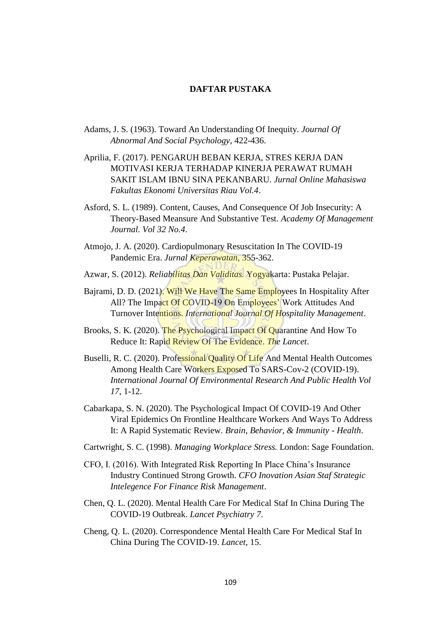## **DAFTAR PUSTAKA**

- Adams, J. S. (1963). Toward An Understanding Of Inequity. *Journal Of Abnormal And Social Psychology*, 422-436.
- Aprilia, F. (2017). PENGARUH BEBAN KERJA, STRES KERJA DAN MOTIVASI KERJA TERHADAP KINERJA PERAWAT RUMAH SAKIT ISLAM IBNU SINA PEKANBARU. *Jurnal Online Mahasiswa Fakultas Ekonomi Universitas Riau Vol.4*.
- Asford, S. L. (1989). Content, Causes, And Consequence Of Job Insecurity: A Theory-Based Meansure And Substantive Test. *Academy Of Management Journal. Vol 32 No.4*.
- Atmojo, J. A. (2020). Cardiopulmonary Resuscitation In The COVID-19 Pandemic Era. *Jurnal Keperawatan*, 355-362.
- Azwar, S. (2012). *Reliabilitas Dan Validitas.* Yogyakarta: Pustaka Pelajar.
- Bajrami, D. D. (2021). Will We Have The Same Employees In Hospitality After All? The Impact Of COVID-19 On Employees' Work Attitudes And Turnover Intentions. *International Journal Of Hospitality Management*.
- Brooks, S. K. (2020). The Psychological Impact Of Quarantine And How To Reduce It: Rapid Review Of The Evidence. *The Lancet*.
- Buselli, R. C. (2020). Professional Quality Of Life And Mental Health Outcomes Among Health Care Workers Exposed To SARS-Cov-2 (COVID-19). *International Journal Of Environmental Research And Public Health Vol 17*, 1-12.
- Cabarkapa, S. N. (2020). The Psychological Impact Of COVID-19 And Other Viral Epidemics On Frontline Healthcare Workers And Ways To Address It: A Rapid Systematic Review. *Brain, Behavior, & Immunity - Health*.
- Cartwright, S. C. (1998). *Managing Workplace Stress.* London: Sage Foundation.
- CFO, I. (2016). With Integrated Risk Reporting In Place China"s Insurance Industry Continued Strong Growth. *CFO Inovation Asian Staf Strategic Intelegence For Finance Risk Management*.
- Chen, Q. L. (2020). Mental Health Care For Medical Staf In China During The COVID-19 Outbreak. *Lancet Psychiatry 7*.
- Cheng, Q. L. (2020). Correspondence Mental Health Care For Medical Staf In China During The COVID-19. *Lancet*, 15.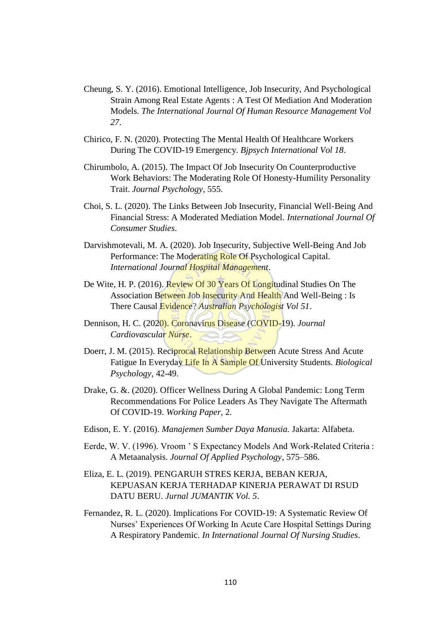- Cheung, S. Y. (2016). Emotional Intelligence, Job Insecurity, And Psychological Strain Among Real Estate Agents : A Test Of Mediation And Moderation Models. *The International Journal Of Human Resource Management Vol 27*.
- Chirico, F. N. (2020). Protecting The Mental Health Of Healthcare Workers During The COVID-19 Emergency. *Bjpsych International Vol 18*.
- Chirumbolo, A. (2015). The Impact Of Job Insecurity On Counterproductive Work Behaviors: The Moderating Role Of Honesty-Humility Personality Trait. *Journal Psychology*, 555.
- Choi, S. L. (2020). The Links Between Job Insecurity, Financial Well‐Being And Financial Stress: A Moderated Mediation Model. *International Journal Of Consumer Studies*.
- Darvishmotevali, M. A. (2020). Job Insecurity, Subjective Well-Being And Job Performance: The Moderating Role Of Psychological Capital. *International Journal Hospital Management*.
- De Wite, H. P. (2016). Review Of 30 Years Of Longitudinal Studies On The Association Between Job Insecurity And Health And Well-Being : Is There Causal Evidence? *Australian Psychologist Vol 51*.
- Dennison, H. C. (2020). Coronavirus Disease (COVID-19). *Journal Cardiovascular Nurse*.
- Doerr, J. M. (2015). Reciprocal Relationship Between Acute Stress And Acute Fatigue In Everyday Life In A Sample Of University Students. *Biological Psychology*, 42-49.
- Drake, G. &. (2020). Officer Wellness During A Global Pandemic: Long Term Recommendations For Police Leaders As They Navigate The Aftermath Of COVID-19. *Working Paper*, 2.
- Edison, E. Y. (2016). *Manajemen Sumber Daya Manusia.* Jakarta: Alfabeta.
- Eerde, W. V. (1996). Vroom " S Expectancy Models And Work-Related Criteria : A Metaanalysis. *Journal Of Applied Psychology*, 575–586.
- Eliza, E. L. (2019). PENGARUH STRES KERJA, BEBAN KERJA, KEPUASAN KERJA TERHADAP KINERJA PERAWAT DI RSUD DATU BERU. *Jurnal JUMANTIK Vol. 5*.
- Fernandez, R. L. (2020). Implications For COVID-19: A Systematic Review Of Nurses" Experiences Of Working In Acute Care Hospital Settings During A Respiratory Pandemic. *In International Journal Of Nursing Studies*.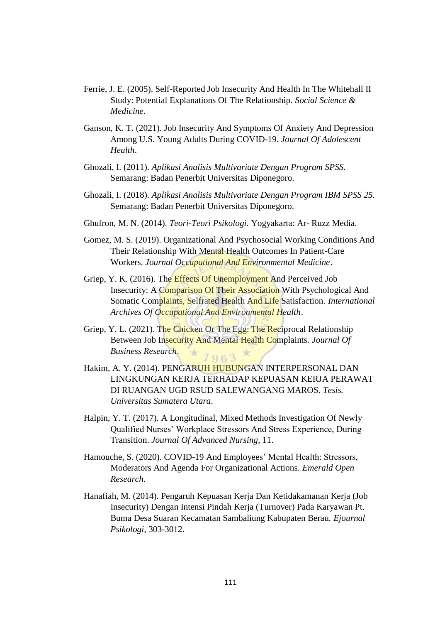- Ferrie, J. E. (2005). Self-Reported Job Insecurity And Health In The Whitehall II Study: Potential Explanations Of The Relationship. *Social Science & Medicine*.
- Ganson, K. T. (2021). Job Insecurity And Symptoms Of Anxiety And Depression Among U.S. Young Adults During COVID-19. *Journal Of Adolescent Health*.
- Ghozali, I. (2011). *Aplikasi Analisis Multivariate Dengan Program SPSS.* Semarang: Badan Penerbit Universitas Diponegoro.
- Ghozali, I. (2018). *Aplikasi Analisis Multivariate Dengan Program IBM SPSS 25.* Semarang: Badan Penerbit Universitas Diponegoro.
- Ghufron, M. N. (2014). *Teori-Teori Psikologi.* Yogyakarta: Ar- Ruzz Media.
- Gomez, M. S. (2019). Organizational And Psychosocial Working Conditions And Their Relationship With Mental Health Outcomes In Patient-Care Workers. *Journal Occupational And Environmental Medicine*.
- Griep, Y. K. (2016). The Effects Of Unemployment And Perceived Job Insecurity: A Comparison Of Their Association With Psychological And Somatic Complaints, Selfrated Health And Life Satisfaction. *International Archives Of Occupational And Environmental Health*.
- Griep, Y. L. (2021). The Chicken Or The Egg: The Reciprocal Relationship Between Job Insecurity And Mental Health Complaints. *Journal Of Business Research*. 2963
- Hakim, A. Y. (2014). PENGARUH HUBUNGAN INTERPERSONAL DAN LINGKUNGAN KERJA TERHADAP KEPUASAN KERJA PERAWAT DI RUANGAN UGD RSUD SALEWANGANG MAROS. *Tesis. Universitas Sumatera Utara*.
- Halpin, Y. T. (2017). A Longitudinal, Mixed Methods Investigation Of Newly Qualified Nurses" Workplace Stressors And Stress Experience, During Transition. *Journal Of Advanced Nursing*, 11.
- Hamouche, S. (2020). COVID-19 And Employees' Mental Health: Stressors, Moderators And Agenda For Organizational Actions. *Emerald Open Research*.
- Hanafiah, M. (2014). Pengaruh Kepuasan Kerja Dan Ketidakamanan Kerja (Job Insecurity) Dengan Intensi Pindah Kerja (Turnover) Pada Karyawan Pt. Buma Desa Suaran Kecamatan Sambaliung Kabupaten Berau. *Ejournal Psikologi*, 303-3012.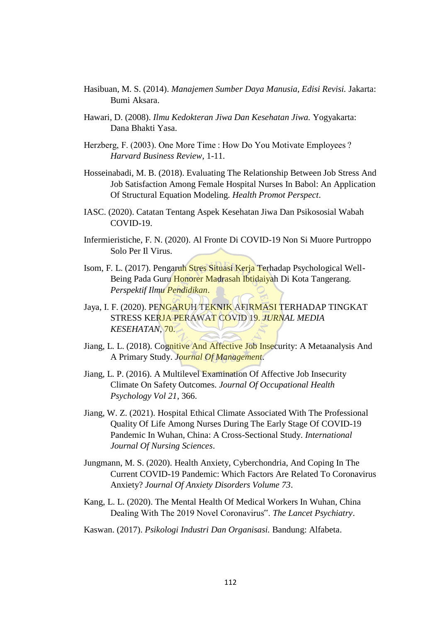- Hasibuan, M. S. (2014). *Manajemen Sumber Daya Manusia, Edisi Revisi.* Jakarta: Bumi Aksara.
- Hawari, D. (2008). *Ilmu Kedokteran Jiwa Dan Kesehatan Jiwa.* Yogyakarta: Dana Bhakti Yasa.
- Herzberg, F. (2003). One More Time : How Do You Motivate Employees? *Harvard Business Review*, 1-11.
- Hosseinabadi, M. B. (2018). Evaluating The Relationship Between Job Stress And Job Satisfaction Among Female Hospital Nurses In Babol: An Application Of Structural Equation Modeling. *Health Promot Perspect*.
- IASC. (2020). Catatan Tentang Aspek Kesehatan Jiwa Dan Psikososial Wabah COVID-19.
- Infermieristiche, F. N. (2020). Al Fronte Di COVID-19 Non Si Muore Purtroppo Solo Per Il Virus.
- Isom, F. L. (2017). Pengaruh Stres Situasi Kerja Terhadap Psychological Well-Being Pada Guru Honorer Madrasah Ibtidaiyah Di Kota Tangerang. *Perspektif Ilmu Pendidikan*.
- Jaya, I. F. (2020). PENGARUH TEKNIK AFIRMASI TERHADAP TINGKAT STRESS KERJA PERAWAT COVID 19. *JURNAL MEDIA KESEHATAN*, 70.
- Jiang, L. L. (2018). Cognitive And Affective Job Insecurity: A Metaanalysis And A Primary Study. *Journal Of Management*.
- Jiang, L. P. (2016). A Multilevel Examination Of Affective Job Insecurity Climate On Safety Outcomes. *Journal Of Occupational Health Psychology Vol 21*, 366.
- Jiang, W. Z. (2021). Hospital Ethical Climate Associated With The Professional Quality Of Life Among Nurses During The Early Stage Of COVID-19 Pandemic In Wuhan, China: A Cross-Sectional Study. *International Journal Of Nursing Sciences*.
- Jungmann, M. S. (2020). Health Anxiety, Cyberchondria, And Coping In The Current COVID-19 Pandemic: Which Factors Are Related To Coronavirus Anxiety? *Journal Of Anxiety Disorders Volume 73*.
- Kang, L. L. (2020). The Mental Health Of Medical Workers In Wuhan, China Dealing With The 2019 Novel Coronavirus". *The Lancet Psychiatry*.
- Kaswan. (2017). *Psikologi Industri Dan Organisasi.* Bandung: Alfabeta.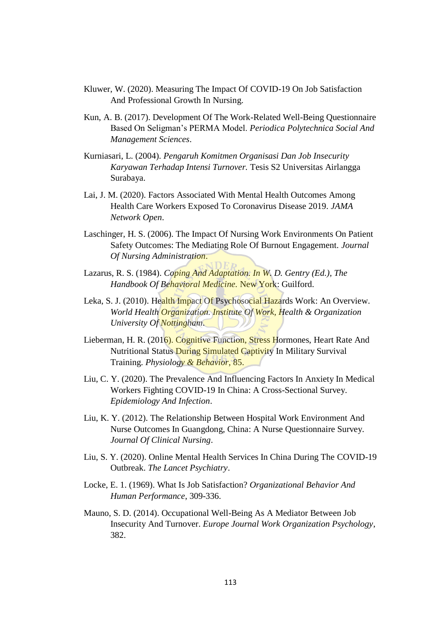- Kluwer, W. (2020). Measuring The Impact Of COVID-19 On Job Satisfaction And Professional Growth In Nursing.
- Kun, A. B. (2017). Development Of The Work-Related Well-Being Questionnaire Based On Seligman"s PERMA Model. *Periodica Polytechnica Social And Management Sciences*.
- Kurniasari, L. (2004). *Pengaruh Komitmen Organisasi Dan Job Insecurity Karyawan Terhadap Intensi Turnover.* Tesis S2 Universitas Airlangga Surabaya.
- Lai, J. M. (2020). Factors Associated With Mental Health Outcomes Among Health Care Workers Exposed To Coronavirus Disease 2019. *JAMA Network Open*.
- Laschinger, H. S. (2006). The Impact Of Nursing Work Environments On Patient Safety Outcomes: The Mediating Role Of Burnout Engagement. *Journal Of Nursing Administration*.
- Lazarus, R. S. (1984). *Coping And Adaptation. In W. D. Gentry (Ed.), The Handbook Of Behavioral Medicine.* New York: Guilford.
- Leka, S. J. (2010). Health Impact Of Psychosocial Hazards Work: An Overview. *World Health Organization. Institute Of Work, Health & Organization University Of Nottingham*.
- Lieberman, H. R. (2016). Cognitive Function, Stress Hormones, Heart Rate And Nutritional Status During Simulated Captivity In Military Survival Training. *Physiology & Behavior*, 85.
- Liu, C. Y. (2020). The Prevalence And Influencing Factors In Anxiety In Medical Workers Fighting COVID-19 In China: A Cross-Sectional Survey. *Epidemiology And Infection*.
- Liu, K. Y. (2012). The Relationship Between Hospital Work Environment And Nurse Outcomes In Guangdong, China: A Nurse Questionnaire Survey. *Journal Of Clinical Nursing*.
- Liu, S. Y. (2020). Online Mental Health Services In China During The COVID-19 Outbreak. *The Lancet Psychiatry*.
- Locke, E. 1. (1969). What Is Job Satisfaction? *Organizational Behavior And Human Performance*, 309-336.
- Mauno, S. D. (2014). Occupational Well-Being As A Mediator Between Job Insecurity And Turnover. *Europe Journal Work Organization Psychology*, 382.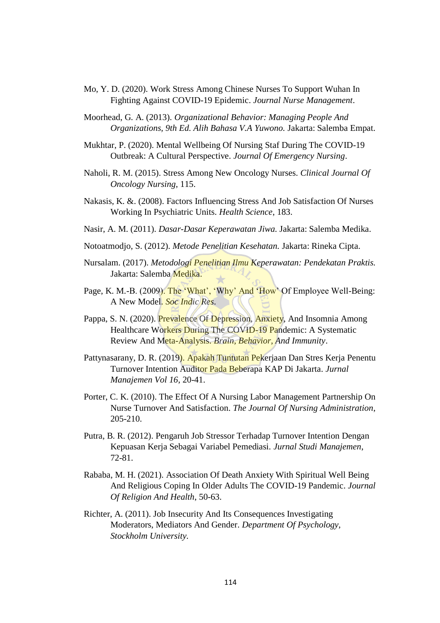- Mo, Y. D. (2020). Work Stress Among Chinese Nurses To Support Wuhan In Fighting Against COVID-19 Epidemic. *Journal Nurse Management*.
- Moorhead, G. A. (2013). *Organizational Behavior: Managing People And Organizations, 9th Ed. Alih Bahasa V.A Yuwono.* Jakarta: Salemba Empat.
- Mukhtar, P. (2020). Mental Wellbeing Of Nursing Staf During The COVID-19 Outbreak: A Cultural Perspective. *Journal Of Emergency Nursing*.
- Naholi, R. M. (2015). Stress Among New Oncology Nurses. *Clinical Journal Of Oncology Nursing*, 115.
- Nakasis, K. &. (2008). Factors Influencing Stress And Job Satisfaction Of Nurses Working In Psychiatric Units. *Health Science*, 183.
- Nasir, A. M. (2011). *Dasar-Dasar Keperawatan Jiwa.* Jakarta: Salemba Medika.
- Notoatmodjo, S. (2012). *Metode Penelitian Kesehatan.* Jakarta: Rineka Cipta.
- Nursalam. (2017). *Metodologi Penelitian Ilmu Keperawatan: Pendekatan Praktis.* Jakarta: Salemba Medika.
- Page, K. M.-B. (2009). The 'What', 'Why' And 'How' Of Employee Well-Being: A New Model. *Soc Indic Res*.
- Pappa, S. N. (2020). Prevalence Of Depression, Anxiety, And Insomnia Among Healthcare Workers During The COVID-19 Pandemic: A Systematic Review And Meta-Analysis. *Brain, Behavior, And Immunity*.
- Pattynasarany, D. R. (2019). Apakah Tuntutan Pekerjaan Dan Stres Kerja Penentu Turnover Intention Auditor Pada Beberapa KAP Di Jakarta. *Jurnal Manajemen Vol 16*, 20-41.
- Porter, C. K. (2010). The Effect Of A Nursing Labor Management Partnership On Nurse Turnover And Satisfaction. *The Journal Of Nursing Administration*, 205-210.
- Putra, B. R. (2012). Pengaruh Job Stressor Terhadap Turnover Intention Dengan Kepuasan Kerja Sebagai Variabel Pemediasi. *Jurnal Studi Manajemen*, 72-81.
- Rababa, M. H. (2021). Association Of Death Anxiety With Spiritual Well Being And Religious Coping In Older Adults The COVID-19 Pandemic. *Journal Of Religion And Health*, 50-63.
- Richter, A. (2011). Job Insecurity And Its Consequences Investigating Moderators, Mediators And Gender. *Department Of Psychology, Stockholm University.*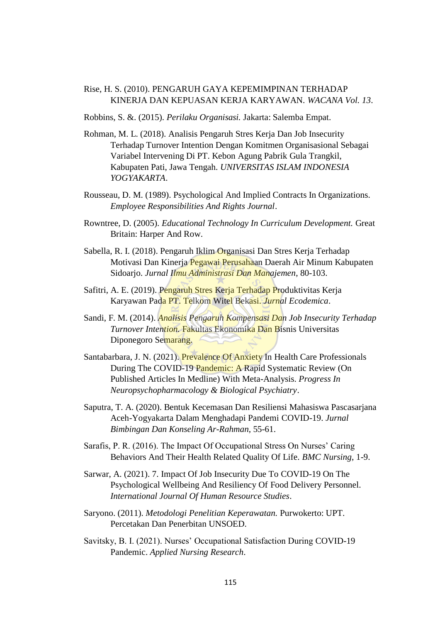## Rise, H. S. (2010). PENGARUH GAYA KEPEMIMPINAN TERHADAP KINERJA DAN KEPUASAN KERJA KARYAWAN. *WACANA Vol. 13*.

Robbins, S. &. (2015). *Perilaku Organisasi.* Jakarta: Salemba Empat.

- Rohman, M. L. (2018). Analisis Pengaruh Stres Kerja Dan Job Insecurity Terhadap Turnover Intention Dengan Komitmen Organisasional Sebagai Variabel Intervening Di PT. Kebon Agung Pabrik Gula Trangkil, Kabupaten Pati, Jawa Tengah. *UNIVERSITAS ISLAM INDONESIA YOGYAKARTA*.
- Rousseau, D. M. (1989). Psychological And Implied Contracts In Organizations. *Employee Responsibilities And Rights Journal*.
- Rowntree, D. (2005). *Educational Technology In Curriculum Development.* Great Britain: Harper And Row.
- Sabella, R. I. (2018). Pengaruh Iklim Organisasi Dan Stres Kerja Terhadap Motivasi Dan Kinerja Pegawai Perusahaan Daerah Air Minum Kabupaten Sidoarjo. *Jurnal Ilmu Administrasi Dan Manajemen*, 80-103.
- Safitri, A. E. (2019). Pengaruh Stres Kerja Terhadap Produktivitas Kerja Karyawan Pada PT. Telkom Witel Bekasi. *Jurnal Ecodemica*.
- Sandi, F. M. (2014). *Analisis Pengaruh Kompensasi Dan Job Insecurity Terhadap Turnover Intention.* Fakultas Ekonomika Dan Bisnis Universitas Diponegoro Semarang.
- Santabarbara, J. N. (2021). Prevalence Of Anxiety In Health Care Professionals During The COVID-19 Pandemic: A Rapid Systematic Review (On Published Articles In Medline) With Meta-Analysis. *Progress In Neuropsychopharmacology & Biological Psychiatry*.
- Saputra, T. A. (2020). Bentuk Kecemasan Dan Resiliensi Mahasiswa Pascasarjana Aceh-Yogyakarta Dalam Menghadapi Pandemi COVID-19. *Jurnal Bimbingan Dan Konseling Ar-Rahman*, 55-61.
- Sarafis, P. R. (2016). The Impact Of Occupational Stress On Nurses' Caring Behaviors And Their Health Related Quality Of Life. *BMC Nursing*, 1-9.
- Sarwar, A. (2021). 7. Impact Of Job Insecurity Due To COVID-19 On The Psychological Wellbeing And Resiliency Of Food Delivery Personnel. *International Journal Of Human Resource Studies*.
- Saryono. (2011). *Metodologi Penelitian Keperawatan.* Purwokerto: UPT. Percetakan Dan Penerbitan UNSOED.
- Savitsky, B. I. (2021). Nurses" Occupational Satisfaction During COVID-19 Pandemic. *Applied Nursing Research*.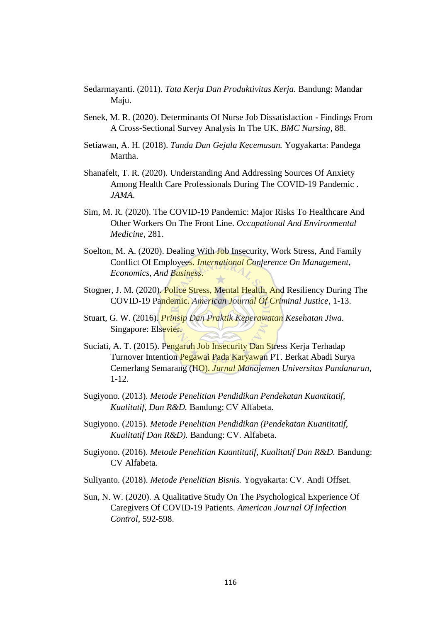- Sedarmayanti. (2011). *Tata Kerja Dan Produktivitas Kerja.* Bandung: Mandar Maju.
- Senek, M. R. (2020). Determinants Of Nurse Job Dissatisfaction Findings From A Cross-Sectional Survey Analysis In The UK. *BMC Nursing*, 88.
- Setiawan, A. H. (2018). *Tanda Dan Gejala Kecemasan.* Yogyakarta: Pandega Martha.
- Shanafelt, T. R. (2020). Understanding And Addressing Sources Of Anxiety Among Health Care Professionals During The COVID-19 Pandemic . *JAMA*.
- Sim, M. R. (2020). The COVID-19 Pandemic: Major Risks To Healthcare And Other Workers On The Front Line. *Occupational And Environmental Medicine*, 281.
- Soelton, M. A. (2020). Dealing With Job Insecurity, Work Stress, And Family Conflict Of Employees. *International Conference On Management, Economics, And Business*.
- Stogner, J. M. (2020). Police Stress, Mental Health, And Resiliency During The COVID-19 Pandemic. *American Journal Of Criminal Justice*, 1-13.
- Stuart, G. W. (2016). *Prinsip Dan Praktik Keperawatan Kesehatan Jiwa.* Singapore: Elsevier.
- Suciati, A. T. (2015). Pengaruh Job Insecurity Dan Stress Kerja Terhadap Turnover Intention Pegawai Pada Karyawan PT. Berkat Abadi Surya Cemerlang Semarang (HO). *Jurnal Manajemen Universitas Pandanaran*, 1-12.
- Sugiyono. (2013). *Metode Penelitian Pendidikan Pendekatan Kuantitatif, Kualitatif, Dan R&D.* Bandung: CV Alfabeta.
- Sugiyono. (2015). *Metode Penelitian Pendidikan (Pendekatan Kuantitatif, Kualitatif Dan R&D).* Bandung: CV. Alfabeta.
- Sugiyono. (2016). *Metode Penelitian Kuantitatif, Kualitatif Dan R&D.* Bandung: CV Alfabeta.
- Suliyanto. (2018). *Metode Penelitian Bisnis.* Yogyakarta: CV. Andi Offset.
- Sun, N. W. (2020). A Qualitative Study On The Psychological Experience Of Caregivers Of COVID-19 Patients. *American Journal Of Infection Control*, 592-598.